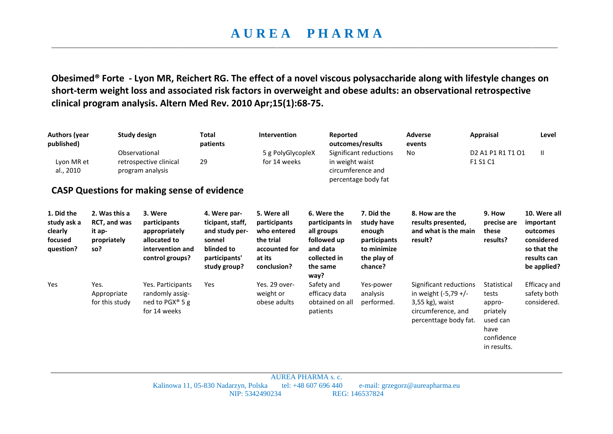## **A U R E A P H A R M A**  \_\_\_\_\_\_\_\_\_\_\_\_\_\_\_\_\_\_\_\_\_\_\_\_\_\_\_\_\_\_\_\_\_\_\_\_\_\_\_\_\_\_\_\_\_\_\_\_\_\_\_\_\_\_\_\_\_\_\_\_\_\_\_\_\_\_\_\_\_\_\_\_\_\_\_\_\_\_\_\_\_\_\_\_\_\_\_\_\_\_\_\_\_\_\_\_\_\_\_\_\_\_\_\_\_\_\_\_\_\_\_\_\_\_\_\_\_\_\_\_\_\_\_\_\_\_\_\_\_\_\_\_\_\_\_\_\_\_\_

**Obesimed® Forte - Lyon MR, Reichert RG. The effect of a novel viscous polysaccharide along with lifestyle changes on short-term weight loss and associated risk factors in overweight and obese adults: an observational retrospective clinical program analysis. Altern Med Rev. 2010 Apr;15(1):68-75.** 

| <b>Authors (year</b><br>published)<br>Lyon MR et<br>al., 2010 |                                                               | <b>Study design</b><br>Observational<br>retrospective clinical<br>program analysis<br><b>CASP Questions for making sense of evidence</b> | <b>Total</b><br>patients<br>29                                                                              | Intervention<br>5 g PolyGlycopleX<br>for 14 weeks                                                 | Reported                                                                                                    | outcomes/results<br>Significant reductions<br>in weight waist<br>circumference and<br>percentage body fat | <b>Adverse</b><br>events<br>No                                                                                   | <b>Appraisal</b><br>D <sub>2</sub> A <sub>1</sub> P <sub>1</sub> R <sub>1</sub> T <sub>1</sub> O <sub>1</sub><br>F1 S1 C1 | Level<br>Ш                                                                                       |
|---------------------------------------------------------------|---------------------------------------------------------------|------------------------------------------------------------------------------------------------------------------------------------------|-------------------------------------------------------------------------------------------------------------|---------------------------------------------------------------------------------------------------|-------------------------------------------------------------------------------------------------------------|-----------------------------------------------------------------------------------------------------------|------------------------------------------------------------------------------------------------------------------|---------------------------------------------------------------------------------------------------------------------------|--------------------------------------------------------------------------------------------------|
| 1. Did the<br>study ask a<br>clearly<br>focused<br>question?  | 2. Was this a<br>RCT, and was<br>it ap-<br>propriately<br>so? | 3. Were<br>participants<br>appropriately<br>allocated to<br>intervention and<br>control groups?                                          | 4. Were par-<br>ticipant, staff,<br>and study per-<br>sonnel<br>blinded to<br>participants'<br>study group? | 5. Were all<br>participants<br>who entered<br>the trial<br>accounted for<br>at its<br>conclusion? | 6. Were the<br>participants in<br>all groups<br>followed up<br>and data<br>collected in<br>the same<br>way? | 7. Did the<br>study have<br>enough<br>participants<br>to minimize<br>the play of<br>chance?               | 8. How are the<br>results presented,<br>and what is the main<br>result?                                          | 9. How<br>precise are<br>these<br>results?                                                                                | 10. Were all<br>important<br>outcomes<br>considered<br>so that the<br>results can<br>be applied? |
| Yes                                                           | Yes.<br>Appropriate<br>for this study                         | Yes. Participants<br>randomly assig-<br>ned to PGX <sup>®</sup> 5 g<br>for 14 weeks                                                      | Yes                                                                                                         | Yes. 29 over-<br>weight or<br>obese adults                                                        | Safety and<br>efficacy data<br>obtained on all<br>patients                                                  | Yes-power<br>analysis<br>performed.                                                                       | Significant reductions<br>in weight (-5,79 +/-<br>3,55 kg), waist<br>circumference, and<br>percenttage body fat. | Statistical<br>tests<br>appro-<br>priately<br>used can<br>have<br>confidence<br>in results.                               | Efficacy and<br>safety both<br>considered.                                                       |